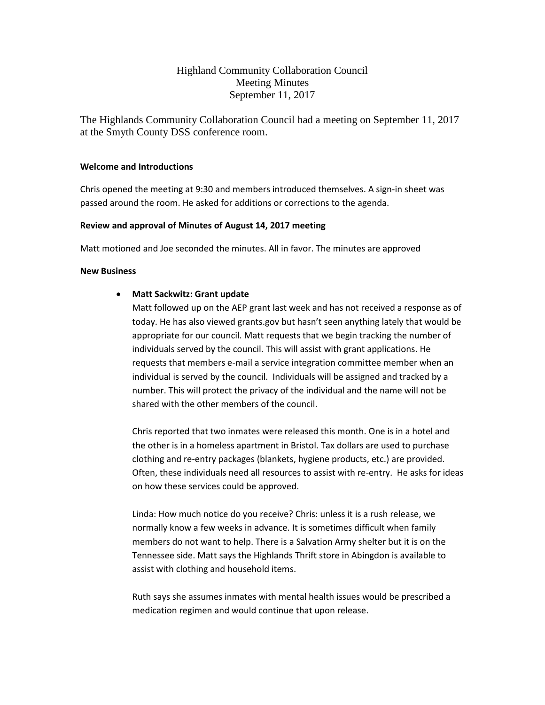# Highland Community Collaboration Council Meeting Minutes September 11, 2017

The Highlands Community Collaboration Council had a meeting on September 11, 2017 at the Smyth County DSS conference room.

## **Welcome and Introductions**

Chris opened the meeting at 9:30 and members introduced themselves. A sign-in sheet was passed around the room. He asked for additions or corrections to the agenda.

## **Review and approval of Minutes of August 14, 2017 meeting**

Matt motioned and Joe seconded the minutes. All in favor. The minutes are approved

## **New Business**

## • **Matt Sackwitz: Grant update**

Matt followed up on the AEP grant last week and has not received a response as of today. He has also viewed grants.gov but hasn't seen anything lately that would be appropriate for our council. Matt requests that we begin tracking the number of individuals served by the council. This will assist with grant applications. He requests that members e-mail a service integration committee member when an individual is served by the council. Individuals will be assigned and tracked by a number. This will protect the privacy of the individual and the name will not be shared with the other members of the council.

Chris reported that two inmates were released this month. One is in a hotel and the other is in a homeless apartment in Bristol. Tax dollars are used to purchase clothing and re-entry packages (blankets, hygiene products, etc.) are provided. Often, these individuals need all resources to assist with re-entry. He asks for ideas on how these services could be approved.

Linda: How much notice do you receive? Chris: unless it is a rush release, we normally know a few weeks in advance. It is sometimes difficult when family members do not want to help. There is a Salvation Army shelter but it is on the Tennessee side. Matt says the Highlands Thrift store in Abingdon is available to assist with clothing and household items.

Ruth says she assumes inmates with mental health issues would be prescribed a medication regimen and would continue that upon release.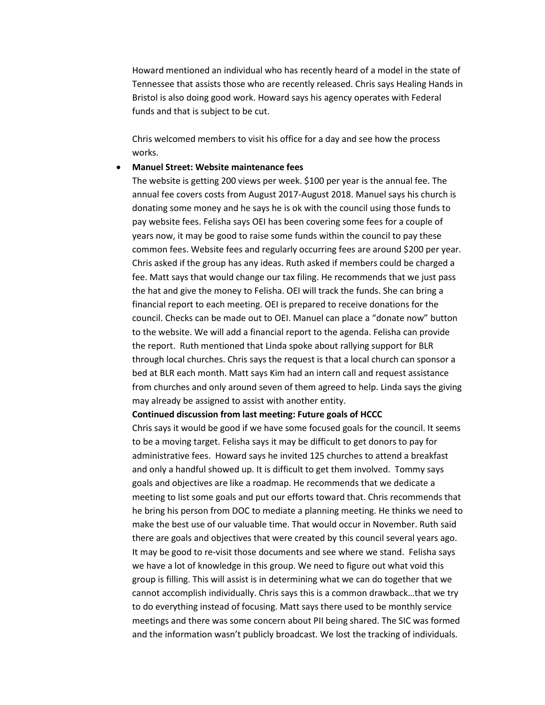Howard mentioned an individual who has recently heard of a model in the state of Tennessee that assists those who are recently released. Chris says Healing Hands in Bristol is also doing good work. Howard says his agency operates with Federal funds and that is subject to be cut.

Chris welcomed members to visit his office for a day and see how the process works.

#### • **Manuel Street: Website maintenance fees**

The website is getting 200 views per week. \$100 per year is the annual fee. The annual fee covers costs from August 2017-August 2018. Manuel says his church is donating some money and he says he is ok with the council using those funds to pay website fees. Felisha says OEI has been covering some fees for a couple of years now, it may be good to raise some funds within the council to pay these common fees. Website fees and regularly occurring fees are around \$200 per year. Chris asked if the group has any ideas. Ruth asked if members could be charged a fee. Matt says that would change our tax filing. He recommends that we just pass the hat and give the money to Felisha. OEI will track the funds. She can bring a financial report to each meeting. OEI is prepared to receive donations for the council. Checks can be made out to OEI. Manuel can place a "donate now" button to the website. We will add a financial report to the agenda. Felisha can provide the report. Ruth mentioned that Linda spoke about rallying support for BLR through local churches. Chris says the request is that a local church can sponsor a bed at BLR each month. Matt says Kim had an intern call and request assistance from churches and only around seven of them agreed to help. Linda says the giving may already be assigned to assist with another entity.

#### **Continued discussion from last meeting: Future goals of HCCC**

Chris says it would be good if we have some focused goals for the council. It seems to be a moving target. Felisha says it may be difficult to get donors to pay for administrative fees. Howard says he invited 125 churches to attend a breakfast and only a handful showed up. It is difficult to get them involved. Tommy says goals and objectives are like a roadmap. He recommends that we dedicate a meeting to list some goals and put our efforts toward that. Chris recommends that he bring his person from DOC to mediate a planning meeting. He thinks we need to make the best use of our valuable time. That would occur in November. Ruth said there are goals and objectives that were created by this council several years ago. It may be good to re-visit those documents and see where we stand. Felisha says we have a lot of knowledge in this group. We need to figure out what void this group is filling. This will assist is in determining what we can do together that we cannot accomplish individually. Chris says this is a common drawback…that we try to do everything instead of focusing. Matt says there used to be monthly service meetings and there was some concern about PII being shared. The SIC was formed and the information wasn't publicly broadcast. We lost the tracking of individuals.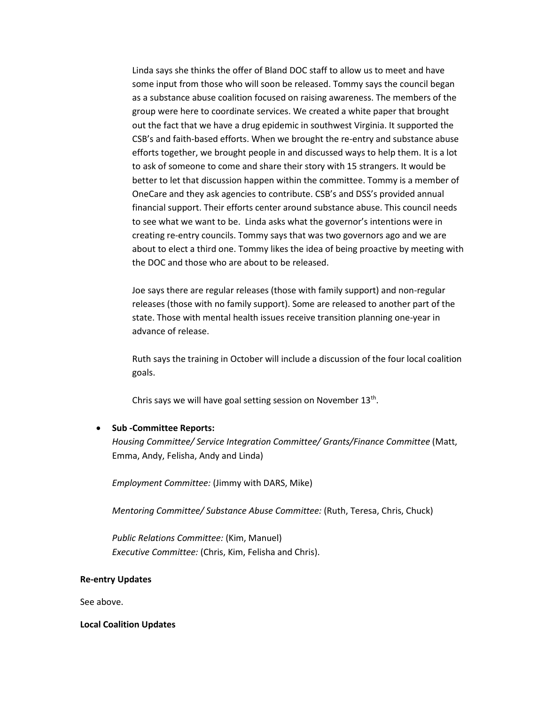Linda says she thinks the offer of Bland DOC staff to allow us to meet and have some input from those who will soon be released. Tommy says the council began as a substance abuse coalition focused on raising awareness. The members of the group were here to coordinate services. We created a white paper that brought out the fact that we have a drug epidemic in southwest Virginia. It supported the CSB's and faith-based efforts. When we brought the re-entry and substance abuse efforts together, we brought people in and discussed ways to help them. It is a lot to ask of someone to come and share their story with 15 strangers. It would be better to let that discussion happen within the committee. Tommy is a member of OneCare and they ask agencies to contribute. CSB's and DSS's provided annual financial support. Their efforts center around substance abuse. This council needs to see what we want to be. Linda asks what the governor's intentions were in creating re-entry councils. Tommy says that was two governors ago and we are about to elect a third one. Tommy likes the idea of being proactive by meeting with the DOC and those who are about to be released.

Joe says there are regular releases (those with family support) and non-regular releases (those with no family support). Some are released to another part of the state. Those with mental health issues receive transition planning one-year in advance of release.

Ruth says the training in October will include a discussion of the four local coalition goals.

Chris says we will have goal setting session on November 13th.

#### • **Sub -Committee Reports:**

*Housing Committee/ Service Integration Committee/ Grants/Finance Committee* (Matt, Emma, Andy, Felisha, Andy and Linda)

*Employment Committee:* (Jimmy with DARS, Mike)

*Mentoring Committee/ Substance Abuse Committee:* (Ruth, Teresa, Chris, Chuck)

*Public Relations Committee:* (Kim, Manuel) *Executive Committee:* (Chris, Kim, Felisha and Chris).

#### **Re-entry Updates**

See above.

#### **Local Coalition Updates**